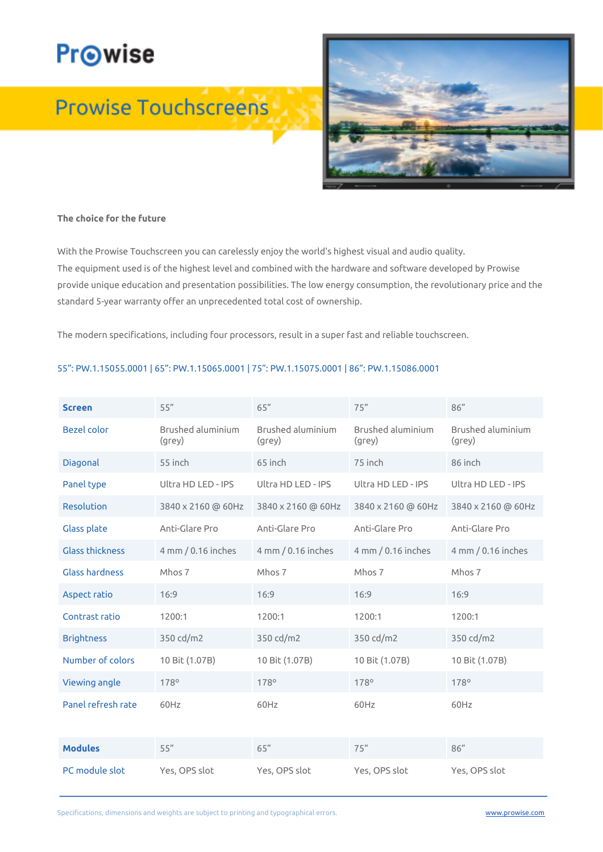# **Pr**⊙wise

## **Prowise Touchscreens**



#### **The choice for the future**

With the Prowise Touchscreen you can carelessly enjoy the world's highest visual and audio quality. The equipment used is of the highest level and combined with the hardware and software developed by Prowise provide unique education and presentation possibilities. The low energy consumption, the revolutionary price and the standard 5-year warranty offer an unprecedented total cost of ownership.

The modern specifications, including four processors, result in a super fast and reliable touchscreen.

#### 55": PW.1.15055.0001 | 65": PW.1.15065.0001 | 75": PW.1.15075.0001 | 86": PW.1.15086.0001

| <b>Screen</b>          | 55"                                | 65"                         | 75"                         | 86''                        |
|------------------------|------------------------------------|-----------------------------|-----------------------------|-----------------------------|
| <b>Bezel color</b>     | <b>Brushed aluminium</b><br>(grey) | Brushed aluminium<br>(grey) | Brushed aluminium<br>(grey) | Brushed aluminium<br>(grey) |
| Diagonal               | 55 inch                            | 65 inch                     | 75 inch                     | 86 inch                     |
| Panel type             | Ultra HD LED - IPS                 | Ultra HD LED - IPS          | Ultra HD LED - IPS          | Ultra HD LED - IPS          |
| Resolution             | 3840 x 2160 @ 60Hz                 | 3840 x 2160 @ 60Hz          | 3840 x 2160 @ 60Hz          | 3840 x 2160 @ 60Hz          |
| Glass plate            | Anti-Glare Pro                     | Anti-Glare Pro              | Anti-Glare Pro              | Anti-Glare Pro              |
| <b>Glass thickness</b> | 4 mm / 0.16 inches                 | 4 mm / 0.16 inches          | 4 mm / 0.16 inches          | 4 mm / 0.16 inches          |
| Glass hardness         | Mhos 7                             | Mhos 7                      | Mhos 7                      | Mhos 7                      |
| Aspect ratio           | 16:9                               | 16:9                        | 16:9                        | 16:9                        |
| Contrast ratio         | 1200:1                             | 1200:1                      | 1200:1                      | 1200:1                      |
| <b>Brightness</b>      | 350 cd/m2                          | 350 cd/m2                   | 350 cd/m2                   | 350 cd/m2                   |
| Number of colors       | 10 Bit (1.07B)                     | 10 Bit (1.07B)              | 10 Bit (1.07B)              | 10 Bit (1.07B)              |
| Viewing angle          | 178°                               | 178°                        | 178°                        | 178°                        |
| Panel refresh rate     | 60Hz                               | 60Hz                        | 60Hz                        | 60Hz                        |
|                        |                                    |                             |                             |                             |
| <b>Modules</b>         | 55"                                | 65"                         | 75"                         | 86''                        |
| PC module slot         | Yes, OPS slot                      | Yes, OPS slot               | Yes, OPS slot               | Yes, OPS slot               |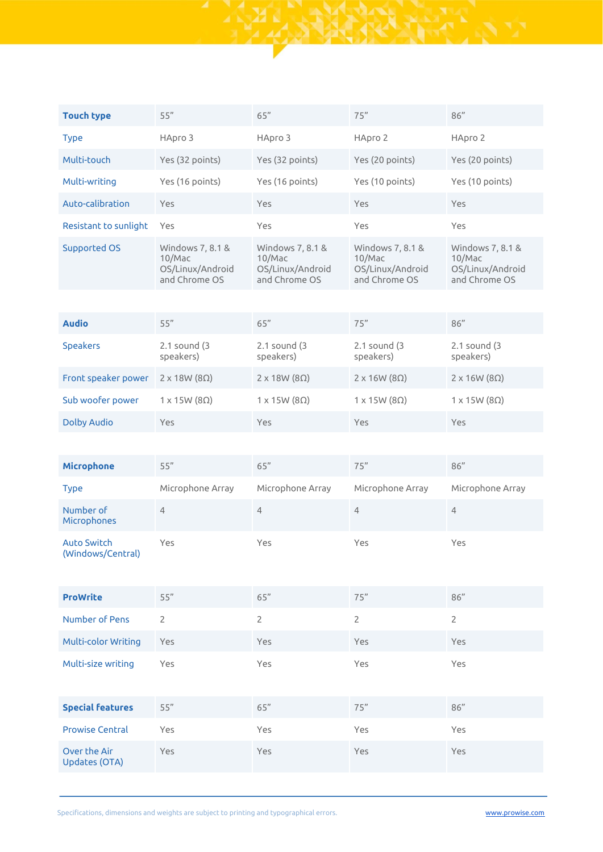| <b>Touch type</b>                       | 55"                                                             | 65"                                                             | 75"                                                             | 86"                                                             |
|-----------------------------------------|-----------------------------------------------------------------|-----------------------------------------------------------------|-----------------------------------------------------------------|-----------------------------------------------------------------|
| <b>Type</b>                             | НАрго 3                                                         | HApro 3                                                         | HApro 2                                                         | HApro 2                                                         |
| Multi-touch                             | Yes (32 points)                                                 | Yes (32 points)                                                 | Yes (20 points)                                                 | Yes (20 points)                                                 |
| Multi-writing                           | Yes (16 points)                                                 | Yes (16 points)                                                 | Yes (10 points)                                                 | Yes (10 points)                                                 |
| Auto-calibration                        | Yes                                                             | Yes                                                             | Yes                                                             | Yes                                                             |
| Resistant to sunlight                   | Yes                                                             | Yes                                                             | Yes                                                             | Yes                                                             |
| <b>Supported OS</b>                     | Windows 7, 8.1 &<br>10/Mac<br>OS/Linux/Android<br>and Chrome OS | Windows 7, 8.1 &<br>10/Mac<br>OS/Linux/Android<br>and Chrome OS | Windows 7, 8.1 &<br>10/Mac<br>OS/Linux/Android<br>and Chrome OS | Windows 7, 8.1 &<br>10/Mac<br>OS/Linux/Android<br>and Chrome OS |
|                                         |                                                                 |                                                                 |                                                                 |                                                                 |
| <b>Audio</b>                            | 55"                                                             | 65"                                                             | 75"                                                             | 86"                                                             |
| <b>Speakers</b>                         | 2.1 sound (3<br>speakers)                                       | 2.1 sound (3<br>speakers)                                       | 2.1 sound (3<br>speakers)                                       | 2.1 sound (3<br>speakers)                                       |
| Front speaker power                     | $2 \times 18W (8\Omega)$                                        | $2 \times 18W (8\Omega)$                                        | $2 \times 16W (8\Omega)$                                        | $2 \times 16W (8\Omega)$                                        |
| Sub woofer power                        | $1 \times 15W(8\Omega)$                                         | $1 \times 15W(8\Omega)$                                         | $1 \times 15W(8\Omega)$                                         | $1 \times 15W(8\Omega)$                                         |
| <b>Dolby Audio</b>                      | Yes                                                             | Yes                                                             | Yes                                                             | Yes                                                             |
|                                         |                                                                 |                                                                 |                                                                 |                                                                 |
| <b>Microphone</b>                       | 55"                                                             | $65"$                                                           | 75"                                                             | 86"                                                             |
| <b>Type</b>                             | Microphone Array                                                | Microphone Array                                                | Microphone Array                                                | Microphone Array                                                |
| Number of<br>Microphones                | $\overline{4}$                                                  | $\overline{4}$                                                  | $\overline{4}$                                                  | $\overline{4}$                                                  |
| <b>Auto Switch</b><br>(Windows/Central) | Yes                                                             | Yes                                                             | Yes                                                             | Yes                                                             |
| <b>ProWrite</b>                         | 55"                                                             | 65"                                                             | 75"                                                             | 86"                                                             |
| <b>Number of Pens</b>                   | $\overline{2}$                                                  | $\overline{2}$                                                  | $\overline{2}$                                                  | $\overline{2}$                                                  |
| <b>Multi-color Writing</b>              | Yes                                                             | Yes                                                             | Yes                                                             | Yes                                                             |
| Multi-size writing                      | Yes                                                             | Yes                                                             | Yes                                                             | Yes                                                             |
| <b>Special features</b>                 | 55"                                                             | 65"                                                             | 75"                                                             | 86"                                                             |
| <b>Prowise Central</b>                  | Yes                                                             | Yes                                                             | Yes                                                             | Yes                                                             |
| Over the Air<br><b>Updates (OTA)</b>    | Yes                                                             | Yes                                                             | Yes                                                             | Yes                                                             |

Ani<br>174

Specifications, dimensions and weights are subject to printing and typographical errors.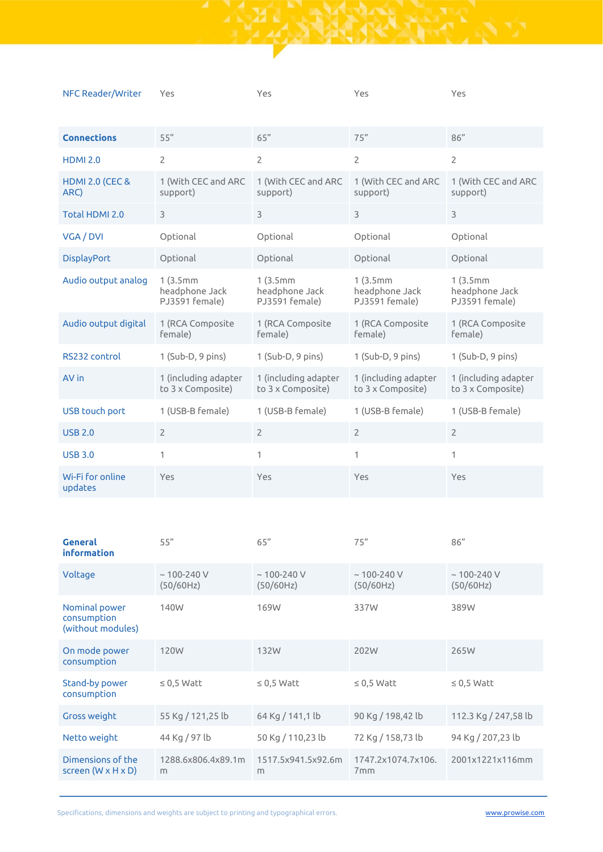| NFC Reader/Writer                  | Yes                                          | Yes                                          | Yes                                          | Yes                                          |
|------------------------------------|----------------------------------------------|----------------------------------------------|----------------------------------------------|----------------------------------------------|
| <b>Connections</b>                 | 55"                                          | 65"                                          | 75"                                          | 86"                                          |
| <b>HDMI 2.0</b>                    | $\overline{2}$                               | $\overline{2}$                               | $\overline{2}$                               | $\overline{2}$                               |
| <b>HDMI 2.0 (CEC &amp;</b><br>ARC) | 1 (With CEC and ARC<br>support)              | 1 (With CEC and ARC<br>support)              | 1 (With CEC and ARC<br>support)              | 1 (With CEC and ARC<br>support)              |
| Total HDMI 2.0                     | 3                                            | $\overline{3}$                               | 3                                            | 3                                            |
| VGA / DVI                          | Optional                                     | Optional                                     | Optional                                     | Optional                                     |
| <b>DisplayPort</b>                 | Optional                                     | Optional                                     | Optional                                     | Optional                                     |
| Audio output analog                | 1(3.5mm)<br>headphone Jack<br>PJ3591 female) | 1(3.5mm)<br>headphone Jack<br>PJ3591 female) | 1(3.5mm)<br>headphone Jack<br>PJ3591 female) | 1(3.5mm)<br>headphone Jack<br>PJ3591 female) |
| Audio output digital               | 1 (RCA Composite<br>female)                  | 1 (RCA Composite<br>female)                  | 1 (RCA Composite<br>female)                  | 1 (RCA Composite<br>female)                  |
| RS232 control                      | $1$ (Sub-D, 9 pins)                          | 1 (Sub-D, 9 pins)                            | $1$ (Sub-D, 9 pins)                          | $1$ (Sub-D, 9 pins)                          |
| AV in                              | 1 (including adapter<br>to 3 x Composite)    | 1 (including adapter<br>to 3 x Composite)    | 1 (including adapter<br>to 3 x Composite)    | 1 (including adapter<br>to 3 x Composite)    |
| <b>USB touch port</b>              | 1 (USB-B female)                             | 1 (USB-B female)                             | 1 (USB-B female)                             | 1 (USB-B female)                             |
| <b>USB 2.0</b>                     | $\overline{2}$                               | $\overline{2}$                               | $\overline{2}$                               | $\overline{2}$                               |
| <b>USB 3.0</b>                     | 1                                            | 1                                            | 1                                            | 1                                            |
| Wi-Fi for online<br>updates        | Yes                                          | Yes                                          | Yes                                          | Yes                                          |

 $\frac{1}{2}$ 

| <b>General</b><br><b>information</b>                | 55"                            | 65"                            | 75"                                   | 86''                           |
|-----------------------------------------------------|--------------------------------|--------------------------------|---------------------------------------|--------------------------------|
| Voltage                                             | $~\sim$ 100-240 V<br>(50/60Hz) | $~\sim$ 100-240 V<br>(50/60Hz) | $~\sim$ 100-240 V<br>(50/60Hz)        | $~\sim$ 100-240 V<br>(50/60Hz) |
| Nominal power<br>consumption<br>(without modules)   | 140W                           | 169W                           | 337W                                  | 389W                           |
| On mode power<br>consumption                        | 120W                           | 132W                           | 202W                                  | 265W                           |
| Stand-by power<br>consumption                       | $\leq$ 0,5 Watt                | $\leq$ 0,5 Watt                | $\leq$ 0.5 Watt                       | $\leq$ 0,5 Watt                |
| Gross weight                                        | 55 Kg / 121,25 lb              | 64 Kg / 141,1 lb               | 90 Kg / 198,42 lb                     | 112.3 Kg / 247,58 lb           |
| Netto weight                                        | 44 Kg / 97 lb                  | 50 Kg / 110,23 lb              | 72 Kg / 158,73 lb                     | 94 Kg / 207,23 lb              |
| Dimensions of the<br>screen $(W \times H \times D)$ | 1288.6x806.4x89.1m<br>m        | 1517.5x941.5x92.6m<br>m        | 1747.2x1074.7x106.<br>7 <sub>mm</sub> | 2001x1221x116mm                |

Specifications, dimensions and weights are subject to printing and typographical errors.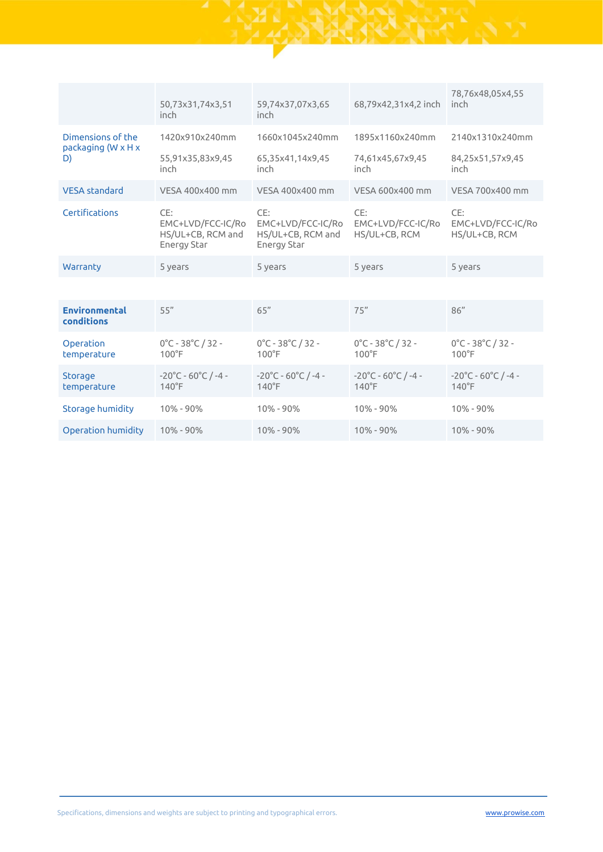|                                                           | 50,73x31,74x3,51<br>inch                                     | 59,74x37,07x3,65<br>inch                                     | 68,79x42,31x4,2 inch                      | 78,76x48,05x4,55<br>inch                  |
|-----------------------------------------------------------|--------------------------------------------------------------|--------------------------------------------------------------|-------------------------------------------|-------------------------------------------|
| Dimensions of the<br>packaging $(W \times H \times$<br>D) | 1420x910x240mm                                               | 1660x1045x240mm                                              | 1895x1160x240mm                           | 2140x1310x240mm                           |
|                                                           | 55,91x35,83x9,45<br>inch                                     | 65,35x41,14x9,45<br>inch                                     | 74,61x45,67x9,45<br>inch                  | 84,25x51,57x9,45<br>inch                  |
| <b>VESA</b> standard                                      | VFSA 400x400 mm                                              | VESA 400x400 mm                                              | VESA 600x400 mm                           | VESA 700x400 mm                           |
| Certifications                                            | CE:<br>EMC+LVD/FCC-IC/Ro<br>HS/UL+CB, RCM and<br>Energy Star | CE:<br>EMC+LVD/FCC-IC/Ro<br>HS/UL+CB, RCM and<br>Energy Star | CE:<br>EMC+LVD/FCC-IC/Ro<br>HS/UL+CB, RCM | CE:<br>EMC+LVD/FCC-IC/Ro<br>HS/UL+CB, RCM |
| Warranty                                                  | 5 years                                                      | 5 years                                                      | 5 years                                   | 5 years                                   |
|                                                           |                                                              |                                                              |                                           |                                           |
|                                                           |                                                              |                                                              |                                           |                                           |

| <b>Environmental</b><br>conditions | 55''                                                        | 65"                                                         | 75"                                                         | 86''                                                        |
|------------------------------------|-------------------------------------------------------------|-------------------------------------------------------------|-------------------------------------------------------------|-------------------------------------------------------------|
| Operation<br>temperature           | $0^{\circ}$ C - 38 $^{\circ}$ C / 32 -<br>$100^{\circ}$ F   | $0^{\circ}$ C - 38 $^{\circ}$ C / 32 -<br>$100^{\circ}$ F   | $0^{\circ}$ C - 38 $^{\circ}$ C / 32 -<br>$100^{\circ}$ F   | $0^{\circ}$ C - 38 $^{\circ}$ C / 32 -<br>$100^{\circ}$ F   |
| Storage<br>temperature             | $-20^{\circ}$ C - 60 $^{\circ}$ C / -4 -<br>$140^{\circ}$ F | $-20^{\circ}$ C - 60 $^{\circ}$ C / -4 -<br>$140^{\circ}$ F | $-20^{\circ}$ C - 60 $^{\circ}$ C / -4 -<br>$140^{\circ}$ F | $-20^{\circ}$ C - 60 $^{\circ}$ C / -4 -<br>$140^{\circ}$ F |
| Storage humidity                   | $10\% - 90\%$                                               | $10\% - 90\%$                                               | $10\% - 90\%$                                               | $10\% - 90\%$                                               |
| Operation humidity                 | $10\% - 90\%$                                               | $10\% - 90\%$                                               | $10\% - 90\%$                                               | $10\% - 90\%$                                               |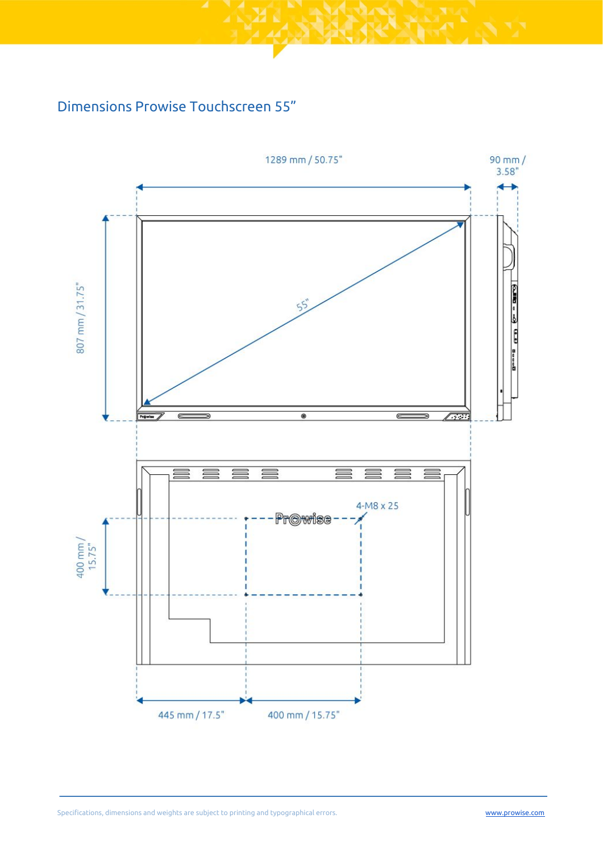### Dimensions Prowise Touchscreen 55"

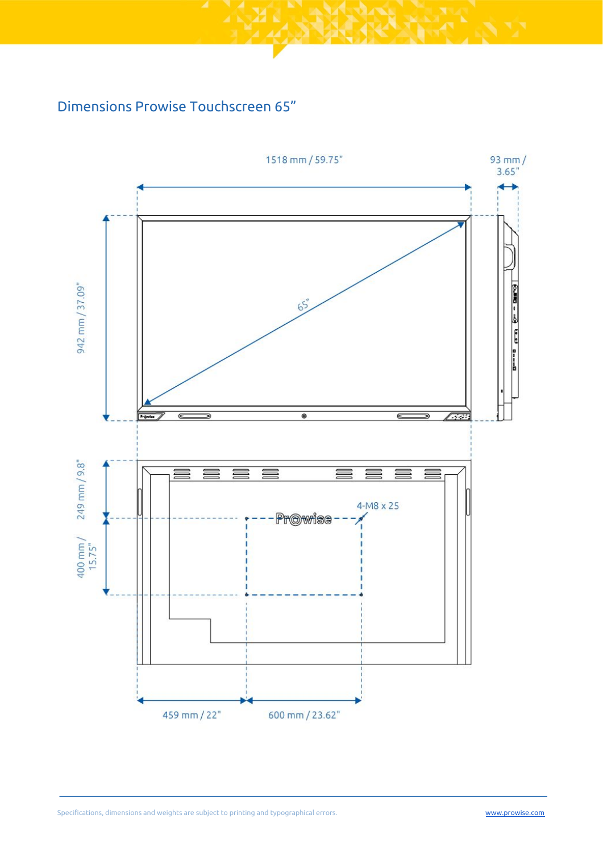### Dimensions Prowise Touchscreen 65"

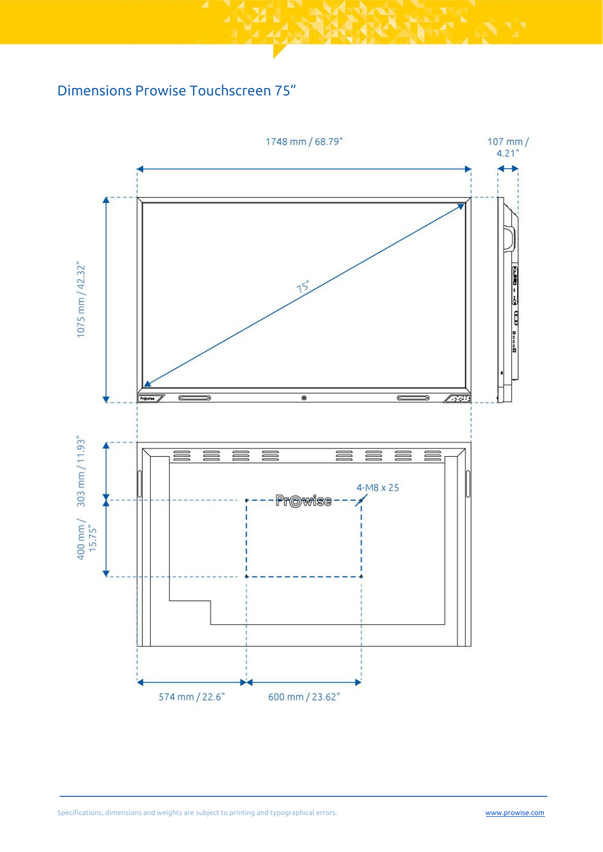#### Dimensions Prowise Touchscreen 75"